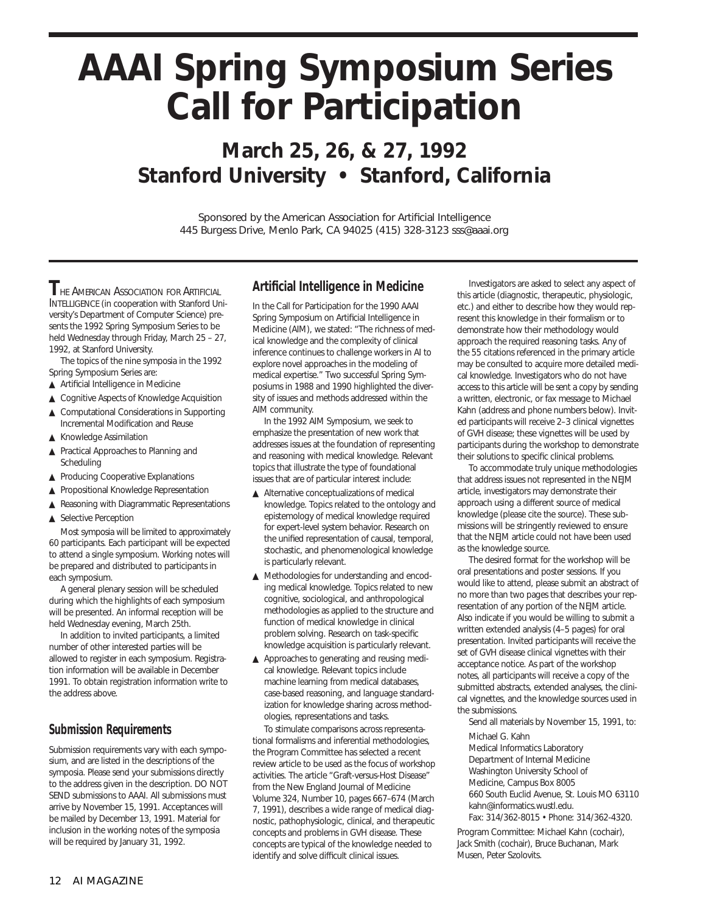# **AAAI Spring Symposium Series Call for Participation**

# **March 25, 26, & 27, 1992 Stanford University • Stanford, California**

Sponsored by the American Association for Artificial Intelligence 445 Burgess Drive, Menlo Park, CA 94025 (415) 328-3123 sss@aaai.org

**THE AMERICAN ASSOCIATION FOR ARTIFICIAL** INTELLIGENCE (in cooperation with Stanford University's Department of Computer Science) presents the 1992 Spring Symposium Series to be held Wednesday through Friday, March 25 – 27, 1992, at Stanford University.

The topics of the nine symposia in the 1992 Spring Symposium Series are:

- ▲ Artificial Intelligence in Medicine
- ▲ Cognitive Aspects of Knowledge Acquisition
- ▲ Computational Considerations in Supporting Incremental Modification and Reuse
- ▲ Knowledge Assimilation
- ▲ Practical Approaches to Planning and Scheduling
- ▲ Producing Cooperative Explanations
- ▲ Propositional Knowledge Representation
- ▲ Reasoning with Diagrammatic Representations
- ▲ Selective Perception

Most symposia will be limited to approximately 60 participants. Each participant will be expected to attend a single symposium. Working notes will be prepared and distributed to participants in each symposium.

A general plenary session will be scheduled during which the highlights of each symposium will be presented. An informal reception will be held Wednesday evening, March 25th.

In addition to invited participants, a limited number of other interested parties will be allowed to register in each symposium. Registration information will be available in December 1991. To obtain registration information write to the address above.

### *Submission Requirements*

Submission requirements vary with each symposium, and are listed in the descriptions of the symposia. Please send your submissions directly to the address given in the description. DO NOT SEND submissions to AAAI. All submissions must arrive by November 15, 1991. Acceptances will be mailed by December 13, 1991. Material for inclusion in the working notes of the symposia will be required by January 31, 1992.

#### **Artificial Intelligence in Medicine**

In the Call for Participation for the 1990 AAAI Spring Symposium on Artificial Intelligence in Medicine (AIM), we stated: "The richness of medical knowledge and the complexity of clinical inference continues to challenge workers in AI to explore novel approaches in the modeling of medical expertise." Two successful Spring Symposiums in 1988 and 1990 highlighted the diversity of issues and methods addressed within the AIM community.

In the 1992 AIM Symposium, we seek to emphasize the presentation of new work that addresses issues at the foundation of representing and reasoning with medical knowledge. Relevant topics that illustrate the type of foundational issues that are of particular interest include:

- ▲ Alternative conceptualizations of medical knowledge. Topics related to the ontology and epistemology of medical knowledge required for expert-level system behavior. Research on the unified representation of causal, temporal, stochastic, and phenomenological knowledge is particularly relevant.
- ▲ Methodologies for understanding and encoding medical knowledge. Topics related to new cognitive, sociological, and anthropological methodologies as applied to the structure and function of medical knowledge in clinical problem solving. Research on task-specific knowledge acquisition is particularly relevant.
- ▲ Approaches to generating and reusing medical knowledge. Relevant topics include machine learning from medical databases, case-based reasoning, and language standardization for knowledge sharing across methodologies, representations and tasks.

To stimulate comparisons across representational formalisms and inferential methodologies, the Program Committee has selected a recent review article to be used as the focus of workshop activities. The article "Graft-versus-Host Disease" from the New England Journal of Medicine Volume 324, Number 10, pages 667–674 (March 7, 1991), describes a wide range of medical diagnostic, pathophysiologic, clinical, and therapeutic concepts and problems in GVH disease. These concepts are typical of the knowledge needed to identify and solve difficult clinical issues.

Investigators are asked to select any aspect of this article (diagnostic, therapeutic, physiologic, etc.) and either to describe how they would represent this knowledge in their formalism or to demonstrate how their methodology would approach the required reasoning tasks. Any of the 55 citations referenced in the primary article may be consulted to acquire more detailed medical knowledge. Investigators who do not have access to this article will be sent a copy by sending a written, electronic, or fax message to Michael Kahn (address and phone numbers below). Invited participants will receive 2–3 clinical vignettes of GVH disease; these vignettes will be used by participants during the workshop to demonstrate their solutions to specific clinical problems.

To accommodate truly unique methodologies that address issues not represented in the NEJM article, investigators may demonstrate their approach using a different source of medical knowledge (please cite the source). These submissions will be stringently reviewed to ensure that the NEJM article could not have been used as the knowledge source.

The desired format for the workshop will be oral presentations and poster sessions. If you would like to attend, please submit an abstract of no more than two pages that describes your representation of any portion of the NEJM article. Also indicate if you would be willing to submit a written extended analysis (4–5 pages) for oral presentation. Invited participants will receive the set of GVH disease clinical vignettes with their acceptance notice. As part of the workshop notes, all participants will receive a copy of the submitted abstracts, extended analyses, the clinical vignettes, and the knowledge sources used in the submissions.

Send all materials by November 15, 1991, to:

Michael G. Kahn Medical Informatics Laboratory Department of Internal Medicine Washington University School of Medicine, Campus Box 8005 660 South Euclid Avenue, St. Louis MO 63110 kahn@informatics.wustl.edu. Fax: 314/362-8015 • Phone: 314/362-4320.

Program Committee: Michael Kahn (cochair), Jack Smith (cochair), Bruce Buchanan, Mark Musen, Peter Szolovits.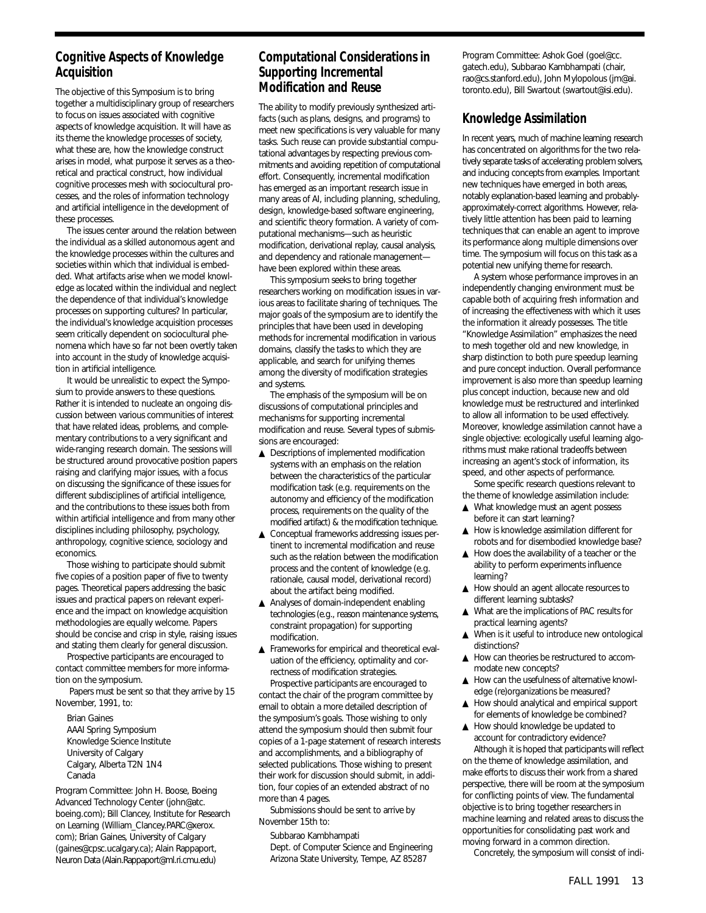# **Cognitive Aspects of Knowledge Acquisition**

The objective of this Symposium is to bring together a multidisciplinary group of researchers to focus on issues associated with cognitive aspects of knowledge acquisition. It will have as its theme the knowledge processes of society, what these are, how the knowledge construct arises in model, what purpose it serves as a theoretical and practical construct, how individual cognitive processes mesh with sociocultural processes, and the roles of information technology and artificial intelligence in the development of these processes.

The issues center around the relation between the individual as a skilled autonomous agent and the knowledge processes within the cultures and societies within which that individual is embedded. What artifacts arise when we model knowledge as located within the individual and neglect the dependence of that individual's knowledge processes on supporting cultures? In particular, the individual's knowledge acquisition processes seem critically dependent on sociocultural phenomena which have so far not been overtly taken into account in the study of knowledge acquisition in artificial intelligence.

It would be unrealistic to expect the Symposium to provide answers to these questions. Rather it is intended to nucleate an ongoing discussion between various communities of interest that have related ideas, problems, and complementary contributions to a very significant and wide-ranging research domain. The sessions will be structured around provocative position papers raising and clarifying major issues, with a focus on discussing the significance of these issues for different subdisciplines of artificial intelligence, and the contributions to these issues both from within artificial intelligence and from many other disciplines including philosophy, psychology, anthropology, cognitive science, sociology and economics.

Those wishing to participate should submit five copies of a position paper of five to twenty pages. Theoretical papers addressing the basic issues and practical papers on relevant experience and the impact on knowledge acquisition methodologies are equally welcome. Papers should be concise and crisp in style, raising issues and stating them clearly for general discussion.

Prospective participants are encouraged to contact committee members for more information on the symposium.

Papers must be sent so that they arrive by 15 November, 1991, to:

Brian Gaines AAAI Spring Symposium Knowledge Science Institute University of Calgary Calgary, Alberta T2N 1N4 Canada

Program Committee: John H. Boose, Boeing Advanced Technology Center (john@atc. boeing.com); Bill Clancey, Institute for Research on Learning (William\_Clancey.PARC@xerox. com); Brian Gaines, University of Calgary (gaines@cpsc.ucalgary.ca); Alain Rappaport, Neuron Data (Alain.Rappaport@ml.ri.cmu.edu)

# **Computational Considerations in Supporting Incremental Modification and Reuse**

The ability to modify previously synthesized artifacts (such as plans, designs, and programs) to meet new specifications is very valuable for many tasks. Such reuse can provide substantial computational advantages by respecting previous commitments and avoiding repetition of computational effort. Consequently, incremental modification has emerged as an important research issue in many areas of AI, including planning, scheduling, design, knowledge-based software engineering, and scientific theory formation. A variety of computational mechanisms—such as heuristic modification, derivational replay, causal analysis, and dependency and rationale management have been explored within these areas.

This symposium seeks to bring together researchers working on modification issues in various areas to facilitate sharing of techniques. The major goals of the symposium are to identify the principles that have been used in developing methods for incremental modification in various domains, classify the tasks to which they are applicable, and search for unifying themes among the diversity of modification strategies and systems.

The emphasis of the symposium will be on discussions of computational principles and mechanisms for supporting incremental modification and reuse. Several types of submissions are encouraged:

- ▲ Descriptions of implemented modification systems with an emphasis on the relation between the characteristics of the particular modification task (e.g. requirements on the autonomy and efficiency of the modification process, requirements on the quality of the modified artifact) & the modification technique.
- ▲ Conceptual frameworks addressing issues pertinent to incremental modification and reuse such as the relation between the modification process and the content of knowledge (e.g. rationale, causal model, derivational record) about the artifact being modified.
- ▲ Analyses of domain-independent enabling technologies (e.g., reason maintenance systems, constraint propagation) for supporting modification.
- ▲ Frameworks for empirical and theoretical evaluation of the efficiency, optimality and correctness of modification strategies. Prospective participants are encouraged to

contact the chair of the program committee by email to obtain a more detailed description of the symposium's goals. Those wishing to only attend the symposium should then submit four copies of a 1-page statement of research interests and accomplishments, and a bibliography of selected publications. Those wishing to present their work for discussion should submit, in addition, four copies of an extended abstract of no more than 4 pages.

Submissions should be sent to arrive by November 15th to:

Subbarao Kambhampati

Dept. of Computer Science and Engineering Arizona State University, Tempe, AZ 85287

Program Committee: Ashok Goel (goel@cc. gatech.edu), Subbarao Kambhampati (chair, rao@cs.stanford.edu), John Mylopolous (jm@ai. toronto.edu), Bill Swartout (swartout@isi.edu).

# **Knowledge Assimilation**

In recent years, much of machine learning research has concentrated on algorithms for the two relatively separate tasks of accelerating problem solvers, and inducing concepts from examples. Important new techniques have emerged in both areas, notably explanation-based learning and probablyapproximately-correct algorithms. However, relatively little attention has been paid to learning techniques that can enable an agent to improve its performance along multiple dimensions over time. The symposium will focus on this task as a potential new unifying theme for research.

A system whose performance improves in an independently changing environment must be capable both of acquiring fresh information and of increasing the effectiveness with which it uses the information it already possesses. The title "Knowledge Assimilation" emphasizes the need to mesh together old and new knowledge, in sharp distinction to both pure speedup learning and pure concept induction. Overall performance improvement is also more than speedup learning plus concept induction, because new and old knowledge must be restructured and interlinked to allow all information to be used effectively. Moreover, knowledge assimilation cannot have a single objective: ecologically useful learning algorithms must make rational tradeoffs between increasing an agent's stock of information, its speed, and other aspects of performance.

Some specific research questions relevant to the theme of knowledge assimilation include:

- ▲ What knowledge must an agent possess before it can start learning?
- ▲ How is knowledge assimilation different for robots and for disembodied knowledge base?
- ▲ How does the availability of a teacher or the ability to perform experiments influence learning?
- ▲ How should an agent allocate resources to different learning subtasks?
- ▲ What are the implications of PAC results for practical learning agents?
- ▲ When is it useful to introduce new ontological distinctions?
- ▲ How can theories be restructured to accommodate new concepts?
- ▲ How can the usefulness of alternative knowledge (re)organizations be measured?
- ▲ How should analytical and empirical support for elements of knowledge be combined?
- ▲ How should knowledge be updated to account for contradictory evidence?

Although it is hoped that participants will reflect on the theme of knowledge assimilation, and make efforts to discuss their work from a shared perspective, there will be room at the symposium for conflicting points of view. The fundamental objective is to bring together researchers in machine learning and related areas to discuss the opportunities for consolidating past work and moving forward in a common direction.

Concretely, the symposium will consist of indi-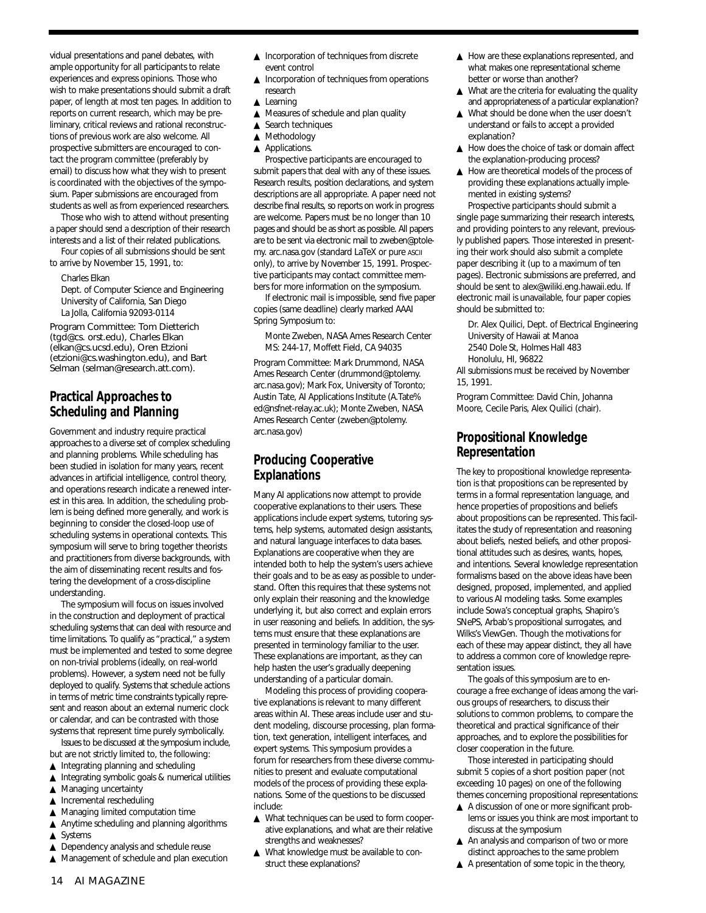vidual presentations and panel debates, with ample opportunity for all participants to relate experiences and express opinions. Those who wish to make presentations should submit a draft paper, of length at most ten pages. In addition to reports on current research, which may be preliminary, critical reviews and rational reconstructions of previous work are also welcome. All prospective submitters are encouraged to contact the program committee (preferably by email) to discuss how what they wish to present is coordinated with the objectives of the symposium. Paper submissions are encouraged from students as well as from experienced researchers.

Those who wish to attend without presenting a paper should send a description of their research interests and a list of their related publications.

Four copies of all submissions should be sent to arrive by November 15, 1991, to:

Charles Elkan

Dept. of Computer Science and Engineering University of California, San Diego La Jolla, California 92093-0114

Program Committee: Tom Dietterich (tgd@cs. orst.edu), Charles Elkan (elkan@cs.ucsd.edu), Oren Etzioni (etzioni@cs.washington.edu), and Bart Selman (selman@research.att.com).

# **Practical Approaches to Scheduling and Planning**

Government and industry require practical approaches to a diverse set of complex scheduling and planning problems. While scheduling has been studied in isolation for many years, recent advances in artificial intelligence, control theory, and operations research indicate a renewed interest in this area. In addition, the scheduling problem is being defined more generally, and work is beginning to consider the closed-loop use of scheduling systems in operational contexts. This symposium will serve to bring together theorists and practitioners from diverse backgrounds, with the aim of disseminating recent results and fostering the development of a cross-discipline understanding.

The symposium will focus on issues involved in the construction and deployment of practical scheduling systems that can deal with resource and time limitations. To qualify as "practical," a system must be implemented and tested to some degree on non-trivial problems (ideally, on real-world problems). However, a system need not be fully deployed to qualify. Systems that schedule actions in terms of metric time constraints typically represent and reason about an external numeric clock or calendar, and can be contrasted with those systems that represent time purely symbolically.

Issues to be discussed at the symposium include, but are not strictly limited to, the following:

- ▲ Integrating planning and scheduling
- ▲ Integrating symbolic goals & numerical utilities
- ▲ Managing uncertainty
- ▲ Incremental rescheduling
- ▲ Managing limited computation time
- ▲ Anytime scheduling and planning algorithms ▲ Systems
- ▲ Dependency analysis and schedule reuse
- ▲ Management of schedule and plan execution
- ▲ Incorporation of techniques from discrete event control
- ▲ Incorporation of techniques from operations research
- ▲ Learning
- ▲ Measures of schedule and plan quality
- ▲ Search techniques
- ▲ Methodology
- ▲ Applications.

Prospective participants are encouraged to submit papers that deal with any of these issues. Research results, position declarations, and system descriptions are all appropriate. A paper need not describe final results, so reports on work in progress are welcome. Papers must be no longer than 10 pages and should be as short as possible. All papers are to be sent via electronic mail to zweben@ptolemy. arc.nasa.gov (standard LaTeX or pure ASCII only), to arrive by November 15, 1991. Prospective participants may contact committee members for more information on the symposium.

If electronic mail is impossible, send five paper copies (same deadline) clearly marked AAAI Spring Symposium to:

Monte Zweben, NASA Ames Research Center MS: 244-17, Moffett Field, CA 94035

Program Committee: Mark Drummond, NASA Ames Research Center (drummond@ptolemy. arc.nasa.gov); Mark Fox, University of Toronto; Austin Tate, AI Applications Institute (A.Tate% ed@nsfnet-relay.ac.uk); Monte Zweben, NASA Ames Research Center (zweben@ptolemy. arc.nasa.gov)

# **Producing Cooperative Explanations**

Many AI applications now attempt to provide cooperative explanations to their users. These applications include expert systems, tutoring systems, help systems, automated design assistants, and natural language interfaces to data bases. Explanations are cooperative when they are intended both to help the system's users achieve their goals and to be as easy as possible to understand. Often this requires that these systems not only explain their reasoning and the knowledge underlying it, but also correct and explain errors in user reasoning and beliefs. In addition, the systems must ensure that these explanations are presented in terminology familiar to the user. These explanations are important, as they can help hasten the user's gradually deepening understanding of a particular domain.

Modeling this process of providing cooperative explanations is relevant to many different areas within AI. These areas include user and student modeling, discourse processing, plan formation, text generation, intelligent interfaces, and expert systems. This symposium provides a forum for researchers from these diverse communities to present and evaluate computational models of the process of providing these explanations. Some of the questions to be discussed include:

- ▲ What techniques can be used to form cooperative explanations, and what are their relative strengths and weaknesses?
- ▲ What knowledge must be available to construct these explanations?
- ▲ How are these explanations represented, and what makes one representational scheme better or worse than another?
- ▲ What are the criteria for evaluating the quality and appropriateness of a particular explanation?
- ▲ What should be done when the user doesn't understand or fails to accept a provided explanation?
- ▲ How does the choice of task or domain affect the explanation-producing process?
- ▲ How are theoretical models of the process of providing these explanations actually implemented in existing systems?

Prospective participants should submit a single page summarizing their research interests, and providing pointers to any relevant, previously published papers. Those interested in presenting their work should also submit a complete paper describing it (up to a maximum of ten pages). Electronic submissions are preferred, and should be sent to alex@wiliki.eng.hawaii.edu. If electronic mail is unavailable, four paper copies should be submitted to:

Dr. Alex Quilici, Dept. of Electrical Engineering University of Hawaii at Manoa 2540 Dole St, Holmes Hall 483

- Honolulu, HI, 96822 All submissions must be received by November
- 15, 1991.

Program Committee: David Chin, Johanna Moore, Cecile Paris, Alex Quilici (chair).

# **Propositional Knowledge Representation**

The key to propositional knowledge representation is that propositions can be represented by terms in a formal representation language, and hence properties of propositions and beliefs about propositions can be represented. This facilitates the study of representation and reasoning about beliefs, nested beliefs, and other propositional attitudes such as desires, wants, hopes, and intentions. Several knowledge representation formalisms based on the above ideas have been designed, proposed, implemented, and applied to various AI modeling tasks. Some examples include Sowa's conceptual graphs, Shapiro's SNePS, Arbab's propositional surrogates, and Wilks's ViewGen. Though the motivations for each of these may appear distinct, they all have to address a common core of knowledge representation issues.

The goals of this symposium are to encourage a free exchange of ideas among the various groups of researchers, to discuss their solutions to common problems, to compare the theoretical and practical significance of their approaches, and to explore the possibilities for closer cooperation in the future.

Those interested in participating should submit 5 copies of a short position paper (not exceeding 10 pages) on one of the following themes concerning propositional representations:

- ▲ A discussion of one or more significant problems or issues you think are most important to discuss at the symposium
- ▲ An analysis and comparison of two or more distinct approaches to the same problem
- $\triangle$  A presentation of some topic in the theory,